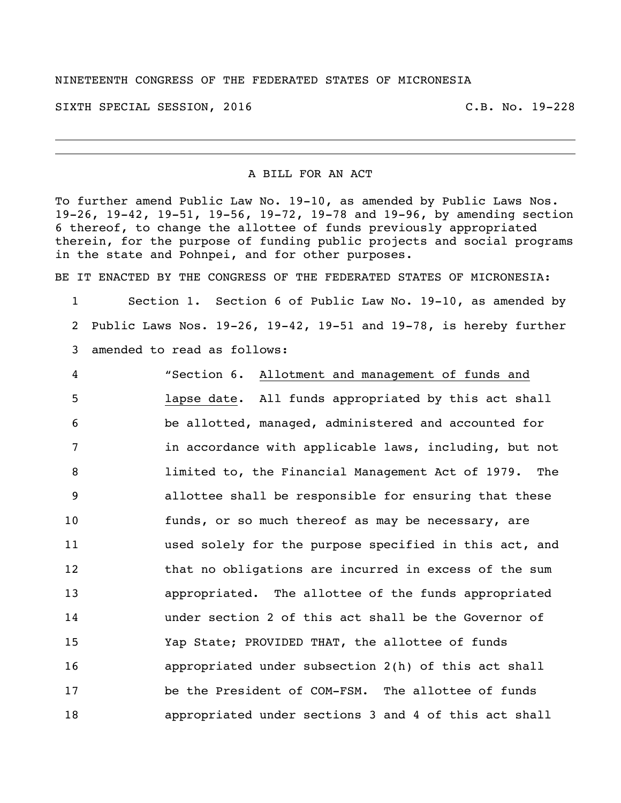## NINETEENTH CONGRESS OF THE FEDERATED STATES OF MICRONESIA

SIXTH SPECIAL SESSION, 2016 C.B. No. 19-228

## A BILL FOR AN ACT

To further amend Public Law No. 19-10, as amended by Public Laws Nos. 19-26, 19-42, 19-51, 19-56, 19-72, 19-78 and 19-96, by amending section thereof, to change the allottee of funds previously appropriated therein, for the purpose of funding public projects and social programs in the state and Pohnpei, and for other purposes.

BE IT ENACTED BY THE CONGRESS OF THE FEDERATED STATES OF MICRONESIA:

 Section 1. Section 6 of Public Law No. 19-10, as amended by Public Laws Nos. 19-26, 19-42, 19-51 and 19-78, is hereby further amended to read as follows:

 "Section 6. Allotment and management of funds and lapse date. All funds appropriated by this act shall be allotted, managed, administered and accounted for 7 in accordance with applicable laws, including, but not limited to, the Financial Management Act of 1979. The allottee shall be responsible for ensuring that these funds, or so much thereof as may be necessary, are used solely for the purpose specified in this act, and 12 that no obligations are incurred in excess of the sum appropriated. The allottee of the funds appropriated under section 2 of this act shall be the Governor of Yap State; PROVIDED THAT, the allottee of funds appropriated under subsection 2(h) of this act shall be the President of COM-FSM. The allottee of funds appropriated under sections 3 and 4 of this act shall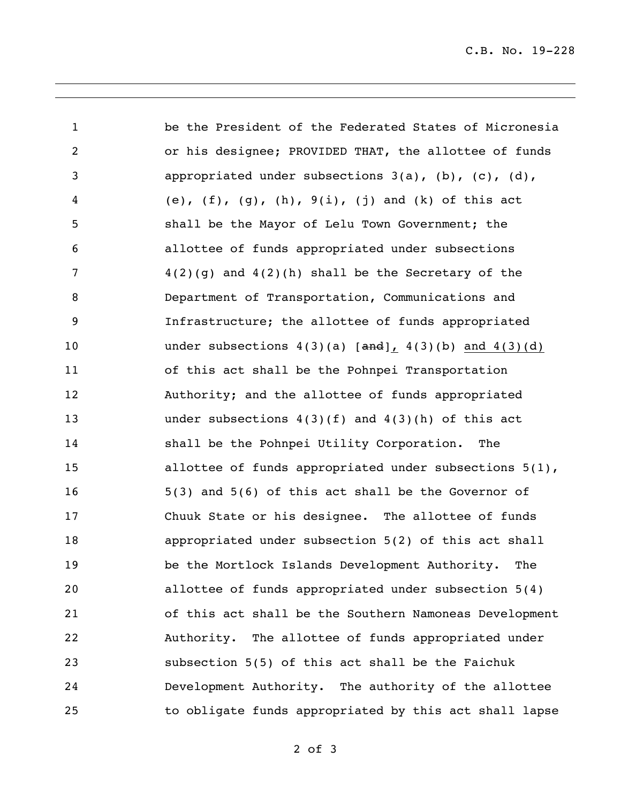C.B. No. 19-228

 be the President of the Federated States of Micronesia or his designee; PROVIDED THAT, the allottee of funds appropriated under subsections 3(a), (b), (c), (d), (e), (f), (g), (h), 9(i), (j) and (k) of this act shall be the Mayor of Lelu Town Government; the allottee of funds appropriated under subsections 4(2)(g) and 4(2)(h) shall be the Secretary of the Department of Transportation, Communications and Infrastructure; the allottee of funds appropriated 10 under subsections  $4(3)(a)$  [and],  $4(3)(b)$  and  $4(3)(d)$  of this act shall be the Pohnpei Transportation Authority; and the allottee of funds appropriated under subsections 4(3)(f) and 4(3)(h) of this act shall be the Pohnpei Utility Corporation. The 15 allottee of funds appropriated under subsections 5(1), 5(3) and 5(6) of this act shall be the Governor of Chuuk State or his designee. The allottee of funds appropriated under subsection 5(2) of this act shall be the Mortlock Islands Development Authority. The allottee of funds appropriated under subsection 5(4) of this act shall be the Southern Namoneas Development Authority. The allottee of funds appropriated under subsection 5(5) of this act shall be the Faichuk Development Authority. The authority of the allottee to obligate funds appropriated by this act shall lapse

of 3